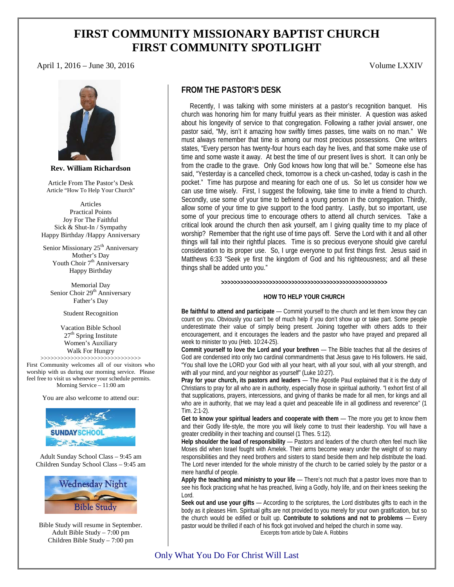# **FIRST COMMUNITY MISSIONARY BAPTIST CHURCH FIRST COMMUNITY SPOTLIGHT**

### April 1, 2016 – June 30, 2016 **Volume LXXIV**



**Rev. William Richardson**

Article From The Pastor's Desk Article "How To Help Your Church"

Articles Practical Points Joy For The Faithful Sick & Shut-In / Sympathy Happy Birthday /Happy Anniversary

Senior Missionary 25<sup>th</sup> Anniversary Mother's Day Youth Choir 7<sup>th</sup> Anniversary Happy Birthday

Memorial Day Senior Choir 29<sup>th</sup> Anniversary Father's Day

Student Recognition

Vacation Bible School  $27<sup>th</sup>$  Spring Institute Women's Auxiliary Walk For Hungry

>>>>>>>>>>>>>>>>>>>>>>>>>>>>>> First Community welcomes all of our visitors who worship with us during our morning service. Please feel free to visit us whenever your schedule permits. Morning Service – 11:00 am

You are also welcome to attend our:



Adult Sunday School Class – 9:45 am Children Sunday School Class – 9:45 am



Bible Study will resume in September. Adult Bible Study – 7:00 pm Children Bible Study – 7:00 pm

## **FROM THE PASTOR'S DESK**

 Recently, I was talking with some ministers at a pastor's recognition banquet. His church was honoring him for many fruitful years as their minister. A question was asked about his longevity of service to that congregation. Following a rather jovial answer, one pastor said, "My, isn't it amazing how swiftly times passes, time waits on no man." We must always remember that time is among our most precious possessions. One writers states, "Every person has twenty-four hours each day he lives, and that some make use of time and some waste it away. At best the time of our present lives is short. It can only be from the cradle to the grave. Only God knows how long that will be." Someone else has said, "Yesterday is a cancelled check, tomorrow is a check un-cashed, today is cash in the pocket." Time has purpose and meaning for each one of us. So let us consider how we can use time wisely. First, I suggest the following, take time to invite a friend to church. Secondly, use some of your time to befriend a young person in the congregation. Thirdly, allow some of your time to give support to the food pantry. Lastly, but so important, use some of your precious time to encourage others to attend all church services. Take a critical look around the church then ask yourself, am I giving quality time to my place of worship? Remember that the right use of time pays off. Serve the Lord with it and all other things will fall into their rightful places. Time is so precious everyone should give careful consideration to its proper use. So, I urge everyone to put first things first. Jesus said in Matthews 6:33 "Seek ye first the kingdom of God and his righteousness; and all these things shall be added unto you."

**>>>>>>>>>>>>>>>>>>>>>>>>>>>>>>>>>>>>>>>>>>>>>>>>>>>>**

#### **HOW TO HELP YOUR CHURCH**

**Be faithful to attend and participate** — Commit yourself to the church and let them know they can count on you. Obviously you can't be of much help if you don't show up or take part. Some people underestimate their value of simply being present. Joining together with others adds to their encouragement, and it encourages the leaders and the pastor who have prayed and prepared all week to minister to you (Heb. 10:24-25).

**Commit yourself to love the Lord and your brethren** — The Bible teaches that all the desires of God are condensed into only two cardinal commandments that Jesus gave to His followers. He said, "You shall love the LORD your God with all your heart, with all your soul, with all your strength, and with all your mind, and your neighbor as yourself" (Luke 10:27).

**Pray for your church, its pastors and leaders** — The Apostle Paul explained that it is the duty of Christians to pray for all who are in authority, especially those in spiritual authority. "I exhort first of all that supplications, prayers, intercessions, and giving of thanks be made for all men, for kings and all who are in authority, that we may lead a quiet and peaceable life in all godliness and reverence" (1 Tim. 2:1-2).

**Get to know your spiritual leaders and cooperate with them** — The more you get to know them and their Godly life-style, the more you will likely come to trust their leadership. You will have a greater credibility in their teaching and counsel (1 Thes. 5:12).

**Help shoulder the load of responsibility** — Pastors and leaders of the church often feel much like Moses did when Israel fought with Amelek. Their arms become weary under the weight of so many responsibilities and they need brothers and sisters to stand beside them and help distribute the load. The Lord never intended for the whole ministry of the church to be carried solely by the pastor or a mere handful of people.

**Apply the teaching and ministry to your life** — There's not much that a pastor loves more than to see his flock practicing what he has preached, living a Godly, holy life, and on their knees seeking the Lord.

**Seek out and use your gifts** — According to the scriptures, the Lord distributes gifts to each in the body as it pleases Him. Spiritual gifts are not provided to you merely for your own gratification, but so the church would be edified or built up. **Contribute to solutions and not to problems** — Every pastor would be thrilled if each of his flock got involved and helped the church in some way. Excerpts from article by Dale A. Robbins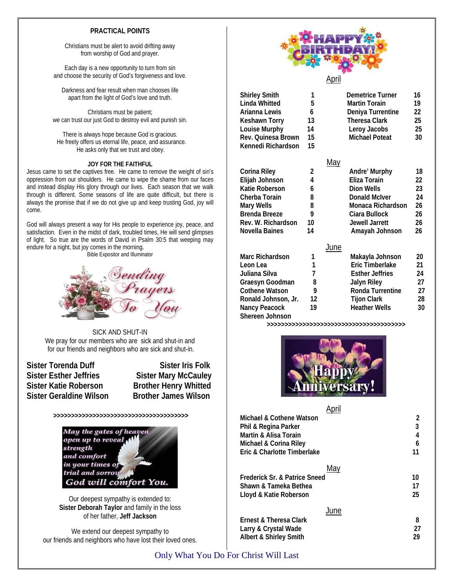### **PRACTICAL POINTS**

Christians must be alert to avoid drifting away from worship of God and prayer.

Each day is a new opportunity to turn from sin and choose the security of God's forgiveness and love.

Darkness and fear result when man chooses life apart from the light of God's love and truth.

Christians must be patient; we can trust our just God to destroy evil and punish sin.

There is always hope because God is gracious. He freely offers us eternal life, peace, and assurance. He asks only that we trust and obey.

### **JOY FOR THE FAITHFUL**

Jesus came to set the captives free. He came to remove the weight of sin's oppression from our shoulders. He came to wipe the shame from our faces and instead display His glory through our lives. Each season that we walk through is different. Some seasons of life are quite difficult, but there is always the promise that if we do not give up and keep trusting God, joy will come.

God will always present a way for His people to experience joy, peace, and satisfaction. Even in the midst of dark, troubled times, He will send glimpses of light. So true are the words of David in Psalm 30:5 that weeping may endure for a night, but joy comes in the morning.

Bible Expositor and Illuminator



SICK AND SHUT-IN We pray for our members who are sick and shut-in and for our friends and neighbors who are sick and shut-in.

**Sister Torenda Duff Sister Iris Folk**<br>
Sister Esther Jeffries **Sister Mary McCaulev Sister Katie Roberson Brother Henry Whitted Sister Geraldine Wilson Brother James Wilson**

**Sister Mary McCauley** 

**>>>>>>>>>>>>>>>>>>>>>>>>>>>>>>>>>>>>>>**



Our deepest sympathy is extended to: **Sister Deborah Taylor** and family in the loss of her father, **Jeff Jackson**

We extend our deepest sympathy to our friends and neighbors who have lost their loved ones.



April

| <b>Shirley Smith</b><br><b>Linda Whitted</b><br>Arianna Lewis<br><b>Keshawn Torry</b><br>Louise Murphy<br>Rev. Quinesa Brown<br>Kennedi Richardson | 1<br>5<br>6<br>13<br>14<br>15<br>15 | <b>Demetrice Turner</b><br><b>Martin Torain</b><br>Deniya Turrentine<br><b>Theresa Clark</b><br>Leroy Jacobs<br><b>Michael Poteat</b> | 16<br>19<br>22<br>25<br>25<br>30 |
|----------------------------------------------------------------------------------------------------------------------------------------------------|-------------------------------------|---------------------------------------------------------------------------------------------------------------------------------------|----------------------------------|
|                                                                                                                                                    |                                     | <u>May</u>                                                                                                                            |                                  |
| Corina Riley                                                                                                                                       | 2                                   | Andre' Murphy                                                                                                                         | 18                               |
| Elijah Johnson                                                                                                                                     | 4                                   | Eliza Torain                                                                                                                          | 22                               |
| Katie Roberson                                                                                                                                     | 6                                   | Dion Wells                                                                                                                            | 23                               |
| Cherba Torain                                                                                                                                      | 8                                   | <b>Donald McIver</b>                                                                                                                  | 24                               |
| <b>Mary Wells</b>                                                                                                                                  | 8                                   | Monaca Richardson                                                                                                                     | 26                               |
| Brenda Breeze                                                                                                                                      | 9                                   | Ciara Bullock                                                                                                                         | 26                               |
| Rev. W. Richardson                                                                                                                                 | 10                                  | Jewell Jarrett                                                                                                                        | 26                               |
| Novella Baines                                                                                                                                     | 14                                  | Amayah Johnson                                                                                                                        | 26                               |
|                                                                                                                                                    |                                     | June                                                                                                                                  |                                  |
| <b>Marc Richardson</b>                                                                                                                             | 1                                   | Makayla Johnson                                                                                                                       | 20                               |
| Leon Lea                                                                                                                                           | 1                                   | Eric Timberlake                                                                                                                       | 21                               |
| Juliana Silva                                                                                                                                      | 7                                   | <b>Esther Jeffries</b>                                                                                                                | 24                               |
| Graesyn Goodman                                                                                                                                    | 8                                   | <b>Jalyn Riley</b>                                                                                                                    | 27                               |
| <b>Cothene Watson</b>                                                                                                                              | 9                                   | Ronda Turrentine                                                                                                                      | 27                               |
| Ronald Johnson, Jr.                                                                                                                                | 12                                  | <b>Tijon Clark</b>                                                                                                                    | 28                               |
| Nancy Peacock<br>Shereen Johnson                                                                                                                   | 19                                  | <b>Heather Wells</b>                                                                                                                  | 30                               |

**>>>>>>>>>>>>>>>>>>>>>>>>>>>>>>>>>>>>>>>**



April

| Michael & Cothene Watson                 | 2  |
|------------------------------------------|----|
| Phil & Regina Parker                     | 3  |
| Martin & Alisa Torain                    | 4  |
| Michael & Corina Riley                   | 6  |
| Eric & Charlotte Timberlake              | 11 |
| May                                      |    |
| <b>Frederick Sr. &amp; Patrice Sneed</b> | 10 |
| Shawn & Tameka Bethea                    | 17 |
| Lloyd & Katie Roberson                   | 25 |
| June                                     |    |
| Ernest & Theresa Clark                   | 8  |
| Larry & Crystal Wade                     | 27 |
| Albert & Shirley Smith                   | 29 |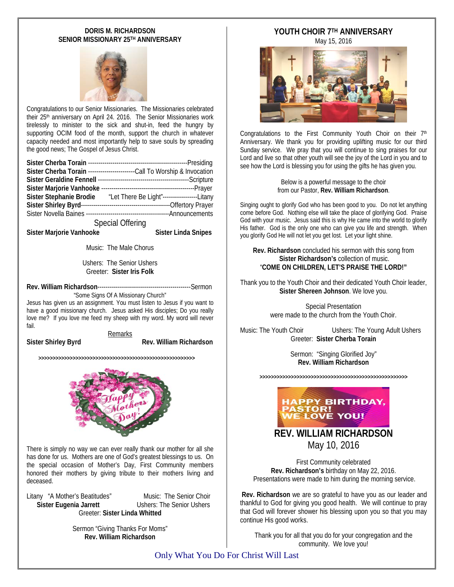### **DORIS M. RICHARDSON SENIOR MISSIONARY 25TH ANNIVERSARY**



Congratulations to our Senior Missionaries. The Missionaries celebrated their 25<sup>th</sup> anniversary on April 24. 2016. The Senior Missionaries work tirelessly to minister to the sick and shut-in, feed the hungry by supporting OCIM food of the month, support the church in whatever capacity needed and most importantly help to save souls by spreading the good news; The Gospel of Jesus Christ.

|                          | Sister Cherba Torain ------------------------Call To Worship & Invocation |  |  |
|--------------------------|---------------------------------------------------------------------------|--|--|
|                          |                                                                           |  |  |
| Sister Marjorie Vanhooke |                                                                           |  |  |
|                          | Sister Stephanie Brodie "Let There Be Light"-----------------Litany       |  |  |
|                          |                                                                           |  |  |
|                          |                                                                           |  |  |
| <b>Special Offering</b>  |                                                                           |  |  |

Sister Marjorie Vanhooke Sister Linda Snipes

Music: The Male Chorus

Ushers: The Senior Ushers Greeter: **Sister Iris Folk**

**Rev. William Richardson**----------------------------------------------Sermon "Some Signs Of A Missionary Church"

Jesus has given us an assignment. You must listen to Jesus if you want to have a good missionary church. Jesus asked His disciples; Do you really love me? If you love me feed my sheep with my word. My word will never fail.

Remarks

Sister Shirley Byrd **Rev. William Richardson** 

**>>>>>>>>>>>>>>>>>>>>>>>>>>>>>>>>>>>>>>>>>>>>>>>>>>>>>>>**



There is simply no way we can ever really thank our mother for all she has done for us. Mothers are one of God's greatest blessings to us. On the special occasion of Mother's Day, First Community members honored their mothers by giving tribute to their mothers living and deceased.

Litany "A Mother's Beatitudes" Music: The Senior Choir **Sister Eugenia Jarrett** Greeter: **Sister Linda Whitted**

> Sermon "Giving Thanks For Moms" **Rev. William Richardson**

# **YOUTH CHOIR 7TH ANNIVERSARY**

May 15, 2016



Congratulations to the First Community Youth Choir on their 7<sup>th</sup> Anniversary. We thank you for providing uplifting music for our third Sunday service. We pray that you will continue to sing praises for our Lord and live so that other youth will see the joy of the Lord in you and to see how the Lord is blessing you for using the gifts he has given you.

> Below is a powerful message to the choir from our Pastor, **Rev. William Richardson**.

Singing ought to glorify God who has been good to you. Do not let anything come before God. Nothing else will take the place of glorifying God. Praise God with your music. Jesus said this is why He came into the world to glorify His father. God is the only one who can give you life and strength. When you glorify God He will not let you get lost. Let your light shine.

**Rev. Richardson** concluded his sermon with this song from **Sister Richardson's** collection of music. "**COME ON CHILDREN, LET'S PRAISE THE LORD!"**

Thank you to the Youth Choir and their dedicated Youth Choir leader, **Sister Shereen Johnson**. We love you.

> Special Presentation were made to the church from the Youth Choir.

Music: The Youth Choir Ushers: The Young Adult Ushers Greeter: **Sister Cherba Torain**

> Sermon: "Singing Glorified Joy" **Rev. William Richardson**

**>>>>>>>>>>>>>>>>>>>>>>>>>>>>>>>>>>>>>>>>>>>>>>>>>>>>**



**REV. WILLIAM RICHARDSON** May 10, 2016

First Community celebrated **Rev. Richardson's** birthday on May 22, 2016. Presentations were made to him during the morning service.

**Rev. Richardson** we are so grateful to have you as our leader and thankful to God for giving you good health. We will continue to pray that God will forever shower his blessing upon you so that you may continue His good works.

Thank you for all that you do for your congregation and the community. We love you!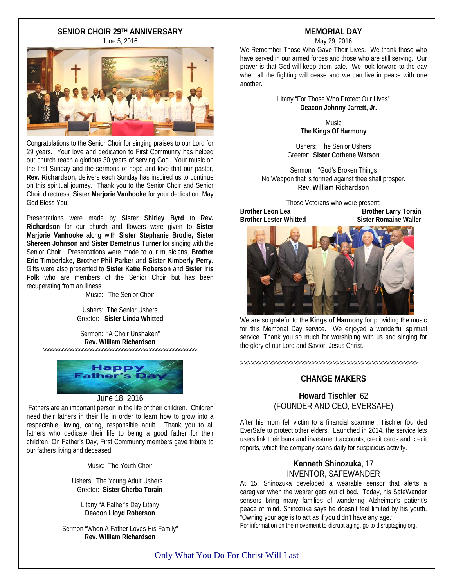# **SENIOR CHOIR 29TH ANNIVERSARY**

June 5, 2016



Congratulations to the Senior Choir for singing praises to our Lord for 29 years. Your love and dedication to First Community has helped our church reach a glorious 30 years of serving God. Your music on the first Sunday and the sermons of hope and love that our pastor, **Rev. Richardson,** delivers each Sunday has inspired us to continue on this spiritual journey. Thank you to the Senior Choir and Senior Choir directress, **Sister Marjorie Vanhooke** for your dedication. May God Bless You!

Presentations were made by **Sister Shirley Byrd** to **Rev. Richardson** for our church and flowers were given to **Sister Marjorie Vanhooke** along with **Sister Stephanie Brodie, Sister Shereen Johnson** and **Sister Demetrius Turner** for singing with the Senior Choir. Presentations were made to our musicians, **Brother Eric Timberlake, Brother Phil Parker** and **Sister Kimberly Perry**. Gifts were also presented to **Sister Katie Roberson** and **Sister Iris**  Folk who are members of the Senior Choir but has been recuperating from an illness.

Music: The Senior Choir

Ushers: The Senior Ushers Greeter: **Sister Linda Whitted**

Sermon: "A Choir Unshaken" **Rev. William Richardson >>>>>>>>>>>>>>>>>>>>>>>>>>>>>>>>>>>>>>>>>>>>>>>>>>>>>>**



### June 18, 2016

Fathers are an important person in the life of their children. Children need their fathers in their life in order to learn how to grow into a respectable, loving, caring, responsible adult. Thank you to all fathers who dedicate their life to being a good father for their children. On Father's Day, First Community members gave tribute to our fathers living and deceased.

Music: The Youth Choir

 Ushers: The Young Adult Ushers Greeter: **Sister Cherba Torain**

Litany "A Father's Day Litany **Deacon Lloyd Roberson**

Sermon "When A Father Loves His Family" **Rev. William Richardson**

# **MEMORIAL DAY**

May 29, 2016

We Remember Those Who Gave Their Lives. We thank those who have served in our armed forces and those who are still serving. Our prayer is that God will keep them safe. We look forward to the day when all the fighting will cease and we can live in peace with one another.

> Litany "For Those Who Protect Our Lives"  **Deacon Johnny Jarrett, Jr.**

> > Music **The Kings Of Harmony**

Ushers: The Senior Ushers Greeter: **Sister Cothene Watson**

Sermon "God's Broken Things No Weapon that is formed against thee shall prosper. **Rev. William Richardson**

Those Veterans who were present:<br>Brother Leon Lea **Brother Larry Torain**<br>Sister Romaine Waller **Brother Lester Whitted** 



We are so grateful to the **Kings of Harmony** for providing the music for this Memorial Day service. We enjoyed a wonderful spiritual service. Thank you so much for worshiping with us and singing for the glory of our Lord and Savior, Jesus Christ.

>>>>>>>>>>>>>>>>>>>>>>>>>>>>>>>>>>>>>>>>>>>>>>>>>>

### **CHANGE MAKERS**

**Howard Tischler**, 62 (FOUNDER AND CEO, EVERSAFE)

After his mom fell victim to a financial scammer, Tischler founded EverSafe to protect other elders. Launched in 2014, the service lets users link their bank and investment accounts, credit cards and credit reports, which the company scans daily for suspicious activity.

### **Kenneth Shinozuka**, 17 INVENTOR, SAFEWANDER

At 15, Shinozuka developed a wearable sensor that alerts a caregiver when the wearer gets out of bed. Today, his SafeWander sensors bring many families of wandering Alzheimer's patient's peace of mind. Shinozuka says he doesn't feel limited by his youth. "Owning your age is to act as if you didn't have any age."

For information on the movement to disrupt aging, go to disruptaging.org.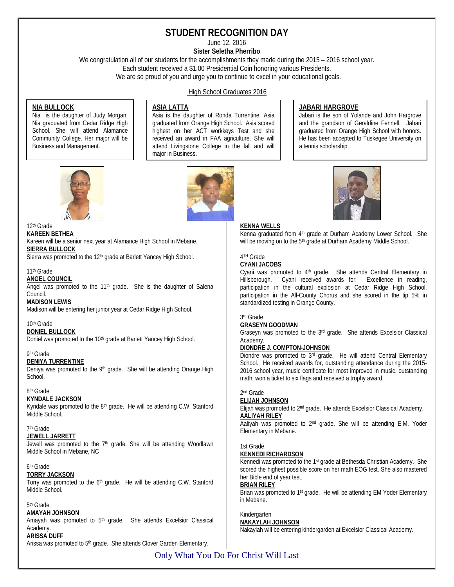# **STUDENT RECOGNITION DAY**

June 12, 2016

**Sister Seletha Pherribo**

We congratulation all of our students for the accomplishments they made during the 2015 – 2016 school year.

Each student received a \$1.00 Presidential Coin honoring various Presidents.

We are so proud of you and urge you to continue to excel in your educational goals.

### High School Graduates 2016

### **NIA BULLOCK**

Nia is the daughter of Judy Morgan. Nia graduated from Cedar Ridge High School. She will attend Alamance Community College. Her major will be Business and Management.

### **ASIA LATTA**

Asia is the daughter of Ronda Turrentine. Asia graduated from Orange High School. Asia scored highest on her ACT workkeys Test and she received an award in FAA agriculture. She will attend Livingstone College in the fall and will major in Business.

### **JABARI HARGROVE**

Jabari is the son of Yolande and John Hargrove and the grandson of Geraldine Fennell. Jabari graduated from Orange High School with honors. He has been accepted to Tuskegee University on a tennis scholarship.



# 12th Grade

**KAREEN BETHEA** Kareen will be a senior next year at Alamance High School in Mebane. **SIERRA BULLOCK**

Sierra was promoted to the 12<sup>th</sup> grade at Barlett Yancey High School.

### 11th Grade

**ANGEL COUNCIL**

Angel was promoted to the  $11<sup>th</sup>$  grade. She is the daughter of Salena Council.

### **MADISON LEWIS**

Madison will be entering her junior year at Cedar Ridge High School.

#### 10th Grade

**DONIEL BULLOCK**

Doniel was promoted to the 10<sup>th</sup> grade at Barlett Yancey High School.

#### 9th Grade

### **DENIYA TURRENTINE**

Deniya was promoted to the 9<sup>th</sup> grade. She will be attending Orange High School.

### 8th Grade

### **KYNDALE JACKSON**

Kyndale was promoted to the  $8<sup>th</sup>$  grade. He will be attending C.W. Stanford Middle School.

### 7th Grade

**JEWELL JARRETT** Jewell was promoted to the 7<sup>th</sup> grade. She will be attending Woodlawn Middle School in Mebane, NC

### 6th Grade

**TORRY JACKSON** Torry was promoted to the 6<sup>th</sup> grade. He will be attending C.W. Stanford Middle School.

### 5th Grade

### **AMAYAH JOHNSON**

Amayah was promoted to  $5<sup>th</sup>$  grade. She attends Excelsior Classical Academy.

#### **ARISSA DUFF**

Arissa was promoted to 5<sup>th</sup> grade. She attends Clover Garden Elementary.





#### **KENNA WELLS**

Kenna graduated from 4<sup>th</sup> grade at Durham Academy Lower School. She will be moving on to the 5<sup>th</sup> grade at Durham Academy Middle School.

## 4TH Grade

### **CYANI JACOBS**

Cyani was promoted to  $4<sup>th</sup>$  grade. She attends Central Elementary in Hillsborough. Cyani received awards for: Excellence in reading, participation in the cultural explosion at Cedar Ridge High School, participation in the All-County Chorus and she scored in the tip 5% in standardized testing in Orange County.

#### 3rd Grade

#### **GRASEYN GOODMAN**

Graseyn was promoted to the 3rd grade. She attends Excelsior Classical Academy.

### **DIONDRE J. COMPTON-JOHNSON**

Diondre was promoted to 3<sup>rd</sup> grade. He will attend Central Elementary School. He received awards for, outstanding attendance during the 2015- 2016 school year, music certificate for most improved in music, outstanding math, won a ticket to six flags and received a trophy award.

### 2nd Grade

#### **ELIJAH JOHNSON**

Elijah was promoted to 2nd grade. He attends Excelsior Classical Academy. **AALIYAH RILEY**

Aaliyah was promoted to 2<sup>nd</sup> grade. She will be attending E.M. Yoder Elementary in Mebane.

#### 1st Grade

#### **KENNEDI RICHARDSON**

Kennedi was promoted to the 1st grade at Bethesda Christian Academy. She scored the highest possible score on her math EOG test. She also mastered her Bible end of year test.

#### **BRIAN RILEY**

Brian was promoted to 1<sup>st</sup> grade. He will be attending EM Yoder Elementary in Mebane.

#### Kindergarten **NAKAYLAH JOHNSON**

Nakaylah will be entering kindergarden at Excelsior Classical Academy.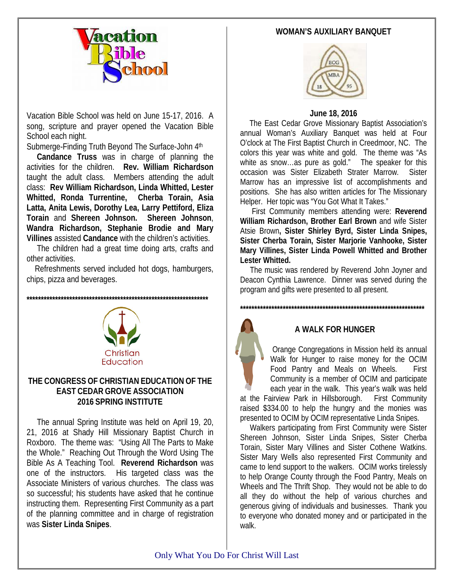# **WOMAN'S AUXILIARY BANQUET**



Vacation Bible School was held on June 15-17, 2016. A song, scripture and prayer opened the Vacation Bible School each night.

Submerge-Finding Truth Beyond The Surface-John 4th

 **Candance Truss** was in charge of planning the activities for the children. **Rev. William Richardson** taught the adult class. Members attending the adult class: **Rev William Richardson, Linda Whitted, Lester Whitted, Ronda Turrentine, Cherba Torain, Asia Latta, Anita Lewis, Dorothy Lea, Larry Pettiford, Eliza Torain** and **Shereen Johnson. Shereen Johnson**, **Wandra Richardson, Stephanie Brodie and Mary Villines** assisted **Candance** with the children's activities.

 The children had a great time doing arts, crafts and other activities.

 Refreshments served included hot dogs, hamburgers, chips, pizza and beverages.

**\*\*\*\*\*\*\*\*\*\*\*\*\*\*\*\*\*\*\*\*\*\*\*\*\*\*\*\*\*\*\*\*\*\*\*\*\*\*\*\*\*\*\*\*\*\*\*\*\*\*\*\*\*\*\*\*\*\*\*\*\*\*\*\***



# **THE CONGRESS OF CHRISTIAN EDUCATION OF THE EAST CEDAR GROVE ASSOCIATION 2016 SPRING INSTITUTE**

The annual Spring Institute was held on April 19, 20, 21, 2016 at Shady Hill Missionary Baptist Church in Roxboro. The theme was: "Using All The Parts to Make the Whole." Reaching Out Through the Word Using The Bible As A Teaching Tool. **Reverend Richardson** was one of the instructors. His targeted class was the Associate Ministers of various churches. The class was so successful; his students have asked that he continue instructing them. Representing First Community as a part of the planning committee and in charge of registration was **Sister Linda Snipes**.



# **June 18, 2016**

 The East Cedar Grove Missionary Baptist Association's annual Woman's Auxiliary Banquet was held at Four O'clock at The First Baptist Church in Creedmoor, NC. The colors this year was white and gold. The theme was "As white as snow…as pure as gold." The speaker for this occasion was Sister Elizabeth Strater Marrow. Sister Marrow has an impressive list of accomplishments and positions. She has also written articles for The Missionary Helper. Her topic was "You Got What It Takes."

 First Community members attending were: **Reverend William Richardson, Brother Earl Brown** and wife Sister Atsie Brown**, Sister Shirley Byrd, Sister Linda Snipes, Sister Cherba Torain, Sister Marjorie Vanhooke, Sister Mary Villines, Sister Linda Powell Whitted and Brother Lester Whitted.**

 The music was rendered by Reverend John Joyner and Deacon Cynthia Lawrence. Dinner was served during the program and gifts were presented to all present.

**\*\*\*\*\*\*\*\*\*\*\*\*\*\*\*\*\*\*\*\*\*\*\*\*\*\*\*\*\*\*\*\*\*\*\*\*\*\*\*\*\*\*\*\*\*\*\*\*\*\*\*\*\*\*\*\*\*\*\*\*\*\*\*\*\***



# **A WALK FOR HUNGER**

Orange Congregations in Mission held its annual Walk for Hunger to raise money for the OCIM Food Pantry and Meals on Wheels. First Community is a member of OCIM and participate each year in the walk. This year's walk was held

at the Fairview Park in Hillsborough. First Community raised \$334.00 to help the hungry and the monies was presented to OCIM by OCIM representative Linda Snipes.

 Walkers participating from First Community were Sister Shereen Johnson, Sister Linda Snipes, Sister Cherba Torain, Sister Mary Villines and Sister Cothene Watkins. Sister Mary Wells also represented First Community and came to lend support to the walkers. OCIM works tirelessly to help Orange County through the Food Pantry, Meals on Wheels and The Thrift Shop. They would not be able to do all they do without the help of various churches and generous giving of individuals and businesses. Thank you to everyone who donated money and or participated in the walk.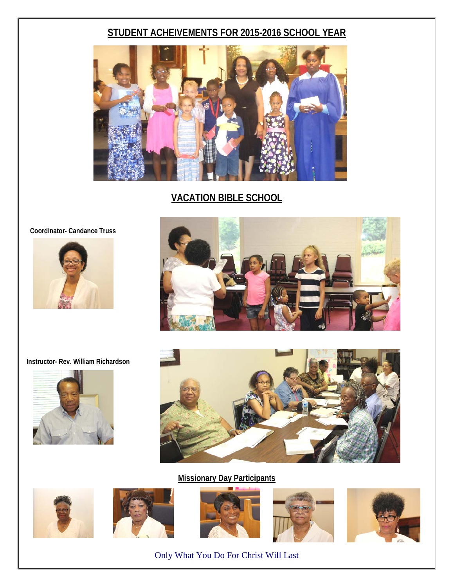# **STUDENT ACHEIVEMENTS FOR 2015-2016 SCHOOL YEAR**



**VACATION BIBLE SCHOOL**

 **Coordinator- Candance Truss**











# **Missionary Day Participants**